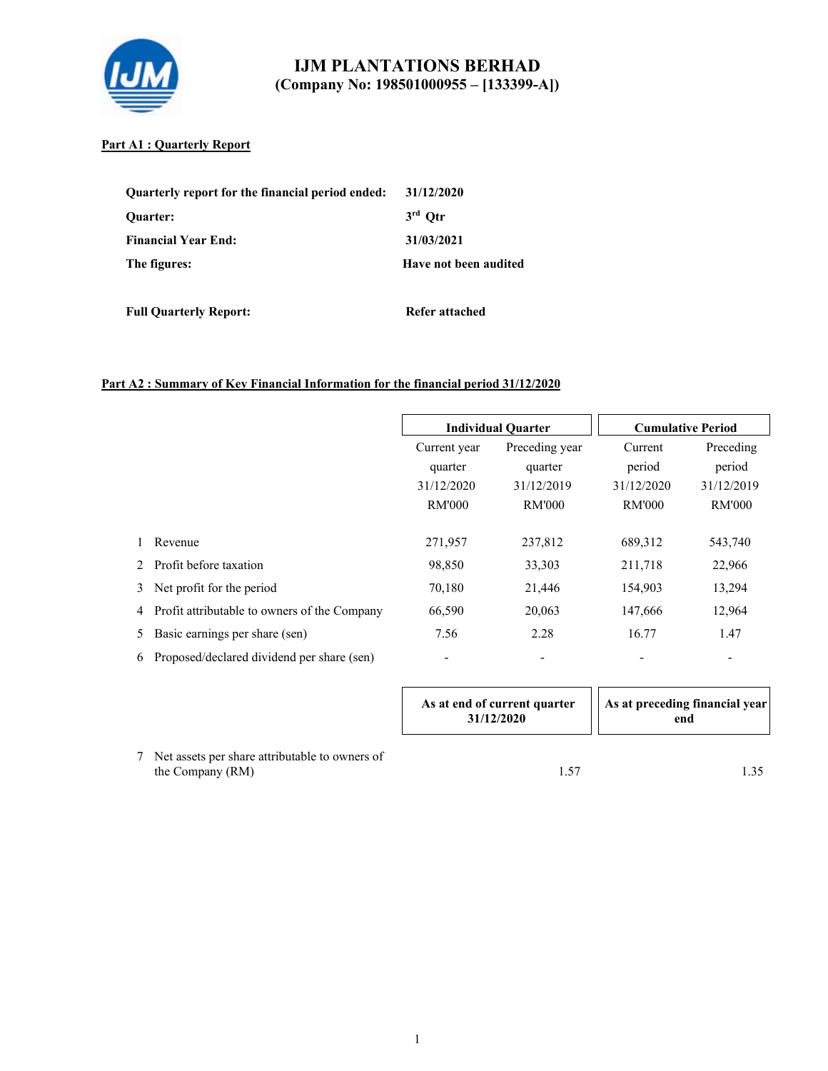

#### **Part A1 : Quarterly Report**

| Quarterly report for the financial period ended: | 31/12/2020            |
|--------------------------------------------------|-----------------------|
| <b>Ouarter:</b>                                  | $3rd$ Otr             |
| <b>Financial Year End:</b>                       | 31/03/2021            |
| The figures:                                     | Have not been audited |

**Full Quarterly Report:** Refer attached

#### **Part A2 : Summary of Key Financial Information for the financial period 31/12/2020**

|    |                                              |                          | <b>Individual Quarter</b>            |               | <b>Cumulative Period</b> |
|----|----------------------------------------------|--------------------------|--------------------------------------|---------------|--------------------------|
|    |                                              | Current year             | Preceding year<br>quarter<br>quarter |               | Preceding                |
|    |                                              |                          |                                      |               | period                   |
|    |                                              | 31/12/2020               | 31/12/2019                           | 31/12/2020    | 31/12/2019               |
|    |                                              | <b>RM'000</b>            | <b>RM'000</b>                        | <b>RM'000</b> | <b>RM'000</b>            |
|    |                                              |                          |                                      |               |                          |
|    | Revenue                                      | 271,957                  | 237,812                              | 689,312       | 543,740                  |
| 2  | Profit before taxation                       | 98,850                   | 33,303                               | 211,718       | 22,966                   |
| 3  | Net profit for the period                    | 70,180                   | 21,446                               | 154,903       | 13,294                   |
| 4  | Profit attributable to owners of the Company | 66,590                   | 20,063                               | 147,666       | 12,964                   |
| 5. | Basic earnings per share (sen)               | 7.56                     | 2.28                                 | 16.77         | 1.47                     |
| 6  | Proposed/declared dividend per share (sen)   | $\overline{\phantom{a}}$ |                                      |               | $\overline{\phantom{a}}$ |

|  | As at end of current quarter<br>31/12/2020 | As at preceding financial year <br>end |
|--|--------------------------------------------|----------------------------------------|
|--|--------------------------------------------|----------------------------------------|

7 Net assets per share attributable to owners of the Company (RM) 1.57 1.35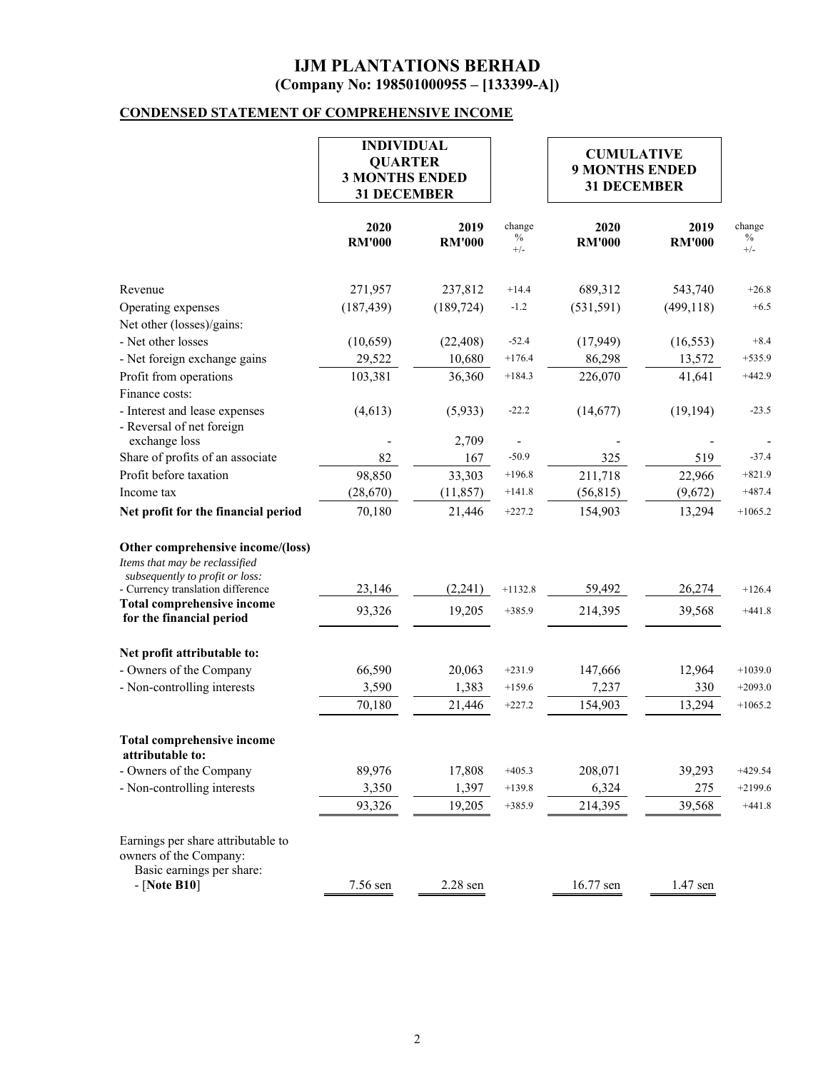## **CONDENSED STATEMENT OF COMPREHENSIVE INCOME**

|                                                                                                                                                                                  | <b>INDIVIDUAL</b><br><b>QUARTER</b><br><b>3 MONTHS ENDED</b><br><b>31 DECEMBER</b> |                       |                         |                       |                       | <b>CUMULATIVE</b><br><b>9 MONTHS ENDED</b><br><b>31 DECEMBER</b> |  |  |
|----------------------------------------------------------------------------------------------------------------------------------------------------------------------------------|------------------------------------------------------------------------------------|-----------------------|-------------------------|-----------------------|-----------------------|------------------------------------------------------------------|--|--|
|                                                                                                                                                                                  | 2020<br><b>RM'000</b>                                                              | 2019<br><b>RM'000</b> | change<br>$\%$<br>$+/-$ | 2020<br><b>RM'000</b> | 2019<br><b>RM'000</b> | change<br>$\%$<br>$+/-$                                          |  |  |
| Revenue                                                                                                                                                                          | 271,957                                                                            | 237,812               | $+14.4$                 | 689,312               | 543,740               | $+26.8$                                                          |  |  |
| Operating expenses                                                                                                                                                               | (187, 439)                                                                         | (189, 724)            | $-1.2$                  | (531, 591)            | (499, 118)            | $+6.5$                                                           |  |  |
| Net other (losses)/gains:                                                                                                                                                        |                                                                                    |                       |                         |                       |                       |                                                                  |  |  |
| - Net other losses                                                                                                                                                               | (10, 659)                                                                          | (22, 408)             | $-52.4$                 | (17, 949)             | (16, 553)             | $+8.4$                                                           |  |  |
| - Net foreign exchange gains                                                                                                                                                     | 29,522                                                                             | 10,680                | $+176.4$                | 86,298                | 13,572                | $+535.9$                                                         |  |  |
| Profit from operations                                                                                                                                                           | 103,381                                                                            | 36,360                | $+184.3$                | 226,070               | 41,641                | $+442.9$                                                         |  |  |
| Finance costs:                                                                                                                                                                   |                                                                                    |                       |                         |                       |                       |                                                                  |  |  |
| - Interest and lease expenses<br>- Reversal of net foreign                                                                                                                       | (4,613)                                                                            | (5,933)               | $-22.2$                 | (14,677)              | (19, 194)             | $-23.5$                                                          |  |  |
| exchange loss                                                                                                                                                                    |                                                                                    | 2,709                 |                         |                       |                       |                                                                  |  |  |
| Share of profits of an associate                                                                                                                                                 | 82                                                                                 | 167                   | $-50.9$                 | 325                   | 519                   | $-37.4$                                                          |  |  |
| Profit before taxation                                                                                                                                                           | 98,850                                                                             | 33,303                | $+196.8$                | 211,718               | 22,966                | $+821.9$                                                         |  |  |
| Income tax                                                                                                                                                                       | (28,670)                                                                           | (11, 857)             | $+141.8$                | (56, 815)             | (9,672)               | $+487.4$                                                         |  |  |
| Net profit for the financial period                                                                                                                                              | 70,180                                                                             | 21,446                | $+227.2$                | 154,903               | 13,294                | $+1065.2$                                                        |  |  |
| Other comprehensive income/(loss)<br>Items that may be reclassified<br>subsequently to profit or loss:<br>- Currency translation difference<br><b>Total comprehensive income</b> | 23,146                                                                             | (2,241)               | $+1132.8$               | 59,492                | 26,274                | $+126.4$                                                         |  |  |
| for the financial period                                                                                                                                                         | 93,326                                                                             | 19,205                | $+385.9$                | 214,395               | 39,568                | $+441.8$                                                         |  |  |
| Net profit attributable to:                                                                                                                                                      |                                                                                    |                       |                         |                       |                       |                                                                  |  |  |
| - Owners of the Company                                                                                                                                                          | 66,590                                                                             | 20,063                | $+231.9$                | 147,666               | 12,964                | $+1039.0$                                                        |  |  |
| - Non-controlling interests                                                                                                                                                      | 3,590                                                                              | 1,383                 | $+159.6$                | 7,237                 | 330                   | $+2093.0$                                                        |  |  |
|                                                                                                                                                                                  | 70,180                                                                             | 21,446                | $+227.2$                | 154,903               | 13,294                | $+1065.2$                                                        |  |  |
| <b>Total comprehensive income</b><br>attributable to:                                                                                                                            |                                                                                    |                       |                         |                       |                       |                                                                  |  |  |
| - Owners of the Company                                                                                                                                                          | 89,976                                                                             | 17,808                | $+405.3$                | 208,071               | 39,293                | $+429.54$                                                        |  |  |
| - Non-controlling interests                                                                                                                                                      | 3,350                                                                              | 1,397                 | $+139.8$                | 6,324                 | 275                   | $+2199.6$                                                        |  |  |
|                                                                                                                                                                                  | 93,326                                                                             | 19,205                | $+385.9$                | 214,395               | 39,568                | $+441.8$                                                         |  |  |
| Earnings per share attributable to<br>owners of the Company:<br>Basic earnings per share:<br>- [Note B10]                                                                        | 7.56 sen                                                                           | 2.28 sen              |                         | 16.77 sen             | 1.47 sen              |                                                                  |  |  |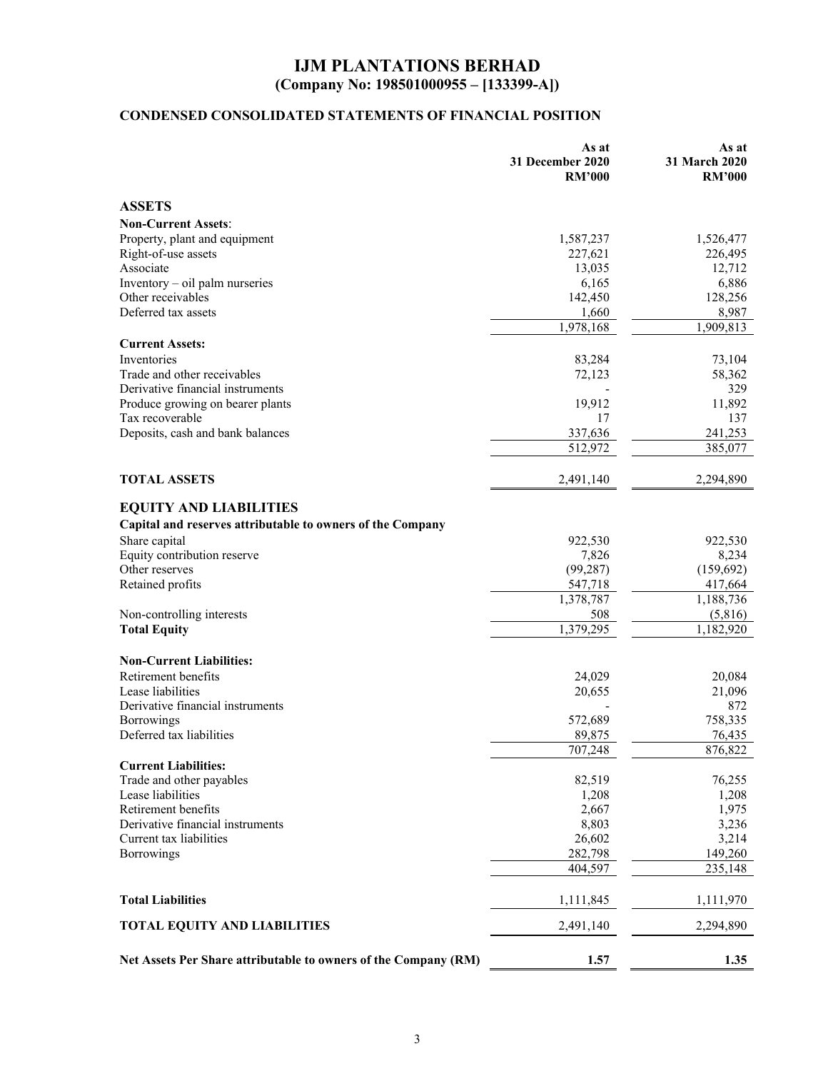# **CONDENSED CONSOLIDATED STATEMENTS OF FINANCIAL POSITION**

|                                                                 | As at<br>31 December 2020<br><b>RM'000</b> | As at<br>31 March 2020<br><b>RM'000</b> |
|-----------------------------------------------------------------|--------------------------------------------|-----------------------------------------|
| <b>ASSETS</b>                                                   |                                            |                                         |
| <b>Non-Current Assets:</b>                                      |                                            |                                         |
| Property, plant and equipment                                   | 1,587,237                                  | 1,526,477                               |
| Right-of-use assets                                             | 227,621                                    | 226,495                                 |
| Associate                                                       | 13,035                                     | 12,712                                  |
| Inventory - oil palm nurseries                                  | 6,165                                      | 6,886                                   |
| Other receivables                                               | 142,450                                    | 128,256                                 |
| Deferred tax assets                                             | 1,660                                      | 8,987                                   |
|                                                                 | 1,978,168                                  | 1,909,813                               |
| <b>Current Assets:</b>                                          |                                            |                                         |
| Inventories                                                     | 83,284                                     | 73,104                                  |
| Trade and other receivables                                     | 72,123                                     | 58,362                                  |
| Derivative financial instruments                                |                                            | 329                                     |
| Produce growing on bearer plants                                | 19,912                                     | 11,892                                  |
| Tax recoverable                                                 | 17                                         | 137                                     |
| Deposits, cash and bank balances                                | 337,636                                    | 241,253                                 |
|                                                                 | 512,972                                    | 385,077                                 |
|                                                                 |                                            |                                         |
| <b>TOTAL ASSETS</b>                                             | 2,491,140                                  | 2,294,890                               |
|                                                                 |                                            |                                         |
| <b>EQUITY AND LIABILITIES</b>                                   |                                            |                                         |
| Capital and reserves attributable to owners of the Company      |                                            |                                         |
| Share capital                                                   | 922,530                                    | 922,530                                 |
| Equity contribution reserve                                     | 7,826                                      | 8,234                                   |
| Other reserves                                                  | (99, 287)                                  | (159, 692)                              |
| Retained profits                                                | 547,718                                    | 417,664                                 |
|                                                                 | 1,378,787                                  | 1,188,736                               |
| Non-controlling interests                                       | 508                                        | (5,816)                                 |
| <b>Total Equity</b>                                             | 1,379,295                                  | 1,182,920                               |
| <b>Non-Current Liabilities:</b>                                 |                                            |                                         |
| Retirement benefits                                             | 24,029                                     | 20,084                                  |
| Lease liabilities                                               | 20,655                                     | 21,096                                  |
| Derivative financial instruments                                |                                            | 872                                     |
| Borrowings                                                      | 572,689                                    | 758,335                                 |
| Deferred tax liabilities                                        | 89,875                                     | 76,435                                  |
|                                                                 | 707,248                                    | 876,822                                 |
| <b>Current Liabilities:</b>                                     |                                            |                                         |
| Trade and other payables                                        | 82,519                                     | 76,255                                  |
| Lease liabilities                                               | 1,208                                      | 1,208                                   |
| Retirement benefits                                             | 2,667                                      | 1,975                                   |
| Derivative financial instruments                                | 8,803                                      | 3,236                                   |
| Current tax liabilities                                         | 26,602                                     | 3,214                                   |
| <b>Borrowings</b>                                               | 282,798                                    | 149,260                                 |
|                                                                 | 404,597                                    | 235,148                                 |
| <b>Total Liabilities</b>                                        | 1,111,845                                  | 1,111,970                               |
|                                                                 |                                            |                                         |
| <b>TOTAL EQUITY AND LIABILITIES</b>                             | 2,491,140                                  | 2,294,890                               |
| Net Assets Per Share attributable to owners of the Company (RM) | 1.57                                       | 1.35                                    |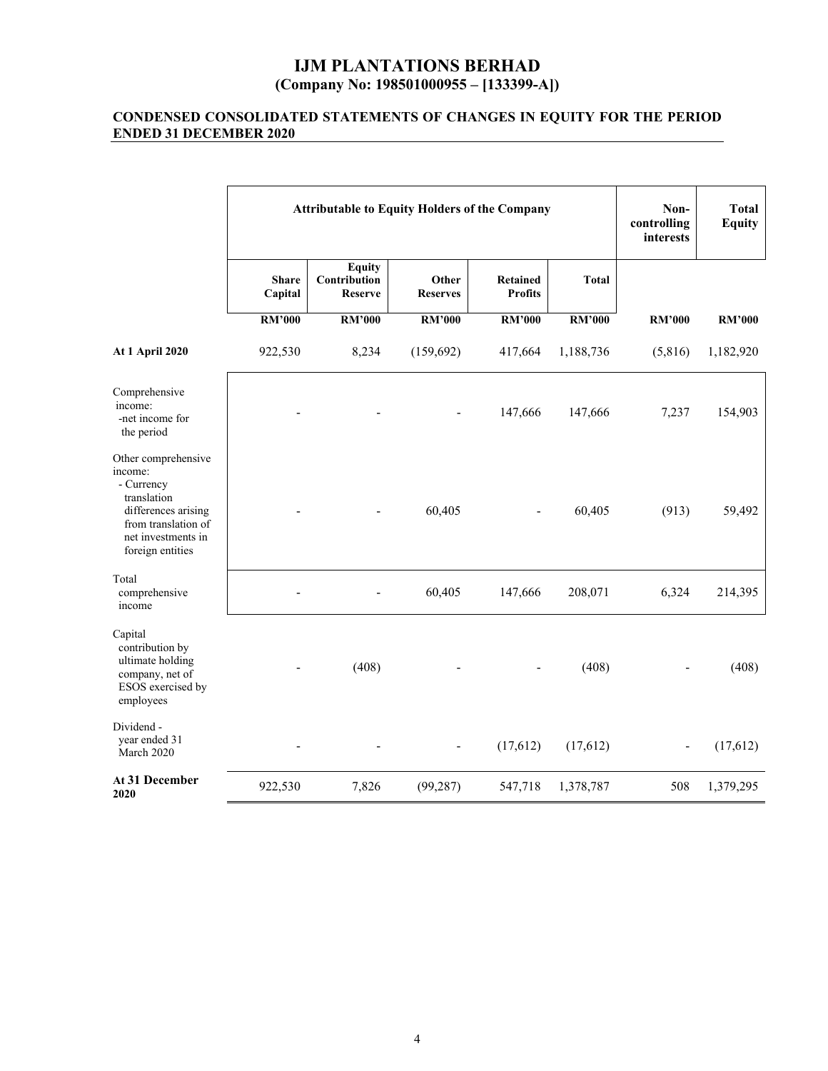#### **CONDENSED CONSOLIDATED STATEMENTS OF CHANGES IN EQUITY FOR THE PERIOD ENDED 31 DECEMBER 2020**

|                                                                                                                                                     | <b>Attributable to Equity Holders of the Company</b> |                                                 |                          |                            | Non-<br>controlling<br>interests | <b>Total</b><br><b>Equity</b> |               |
|-----------------------------------------------------------------------------------------------------------------------------------------------------|------------------------------------------------------|-------------------------------------------------|--------------------------|----------------------------|----------------------------------|-------------------------------|---------------|
|                                                                                                                                                     | <b>Share</b><br>Capital                              | <b>Equity</b><br>Contribution<br><b>Reserve</b> | Other<br><b>Reserves</b> | Retained<br><b>Profits</b> | <b>Total</b>                     |                               |               |
|                                                                                                                                                     | <b>RM'000</b>                                        | <b>RM'000</b>                                   | <b>RM'000</b>            | <b>RM'000</b>              | <b>RM'000</b>                    | <b>RM'000</b>                 | <b>RM'000</b> |
| <b>At 1 April 2020</b>                                                                                                                              | 922,530                                              | 8,234                                           | (159, 692)               | 417,664                    | 1,188,736                        | (5,816)                       | 1,182,920     |
| Comprehensive<br>income:<br>-net income for<br>the period                                                                                           |                                                      |                                                 |                          | 147,666                    | 147,666                          | 7,237                         | 154,903       |
| Other comprehensive<br>income:<br>- Currency<br>translation<br>differences arising<br>from translation of<br>net investments in<br>foreign entities |                                                      |                                                 | 60,405                   |                            | 60,405                           | (913)                         | 59,492        |
| Total<br>comprehensive<br>income                                                                                                                    |                                                      |                                                 | 60,405                   | 147,666                    | 208,071                          | 6,324                         | 214,395       |
| Capital<br>contribution by<br>ultimate holding<br>company, net of<br>ESOS exercised by<br>employees                                                 |                                                      | (408)                                           |                          |                            | (408)                            |                               | (408)         |
| Dividend -<br>year ended 31<br>March 2020                                                                                                           |                                                      |                                                 |                          | (17,612)                   | (17, 612)                        |                               | (17,612)      |
| At 31 December<br>2020                                                                                                                              | 922,530                                              | 7,826                                           | (99, 287)                | 547,718                    | 1,378,787                        | 508                           | 1,379,295     |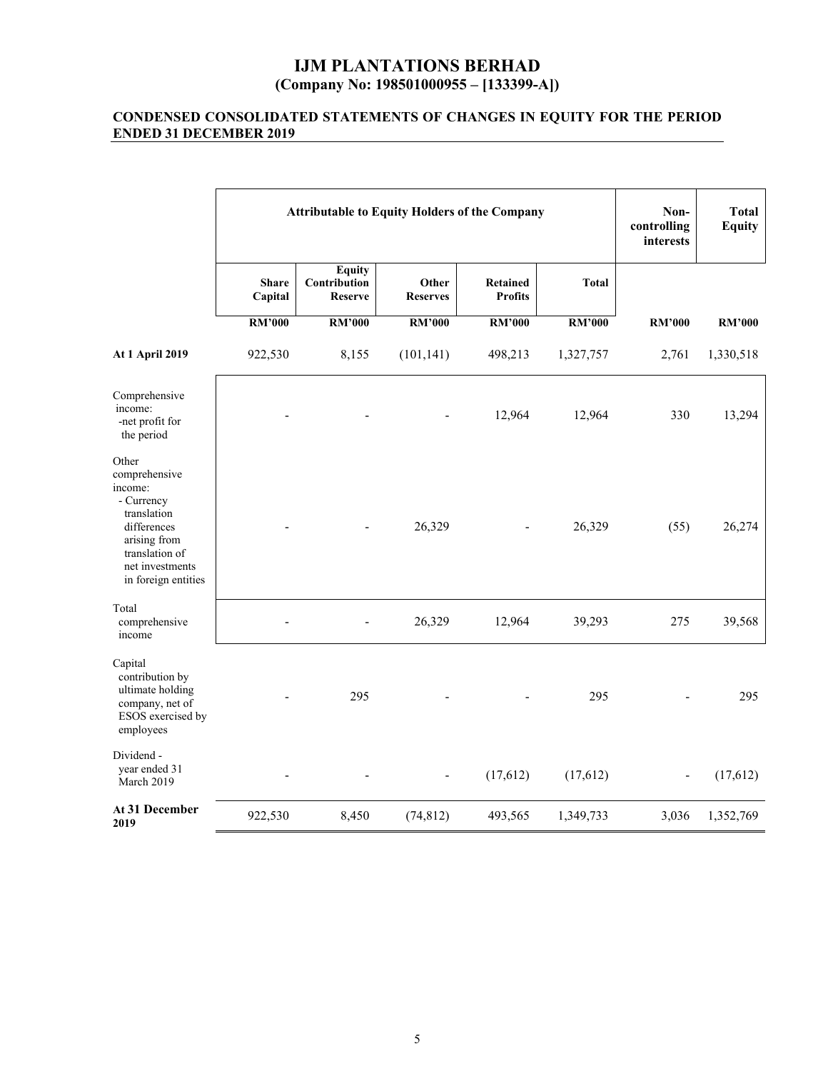#### **CONDENSED CONSOLIDATED STATEMENTS OF CHANGES IN EQUITY FOR THE PERIOD ENDED 31 DECEMBER 2019**

|                                                                                                                                                           | <b>Attributable to Equity Holders of the Company</b> |                                                 |                          |                                   |               | Non-<br>controlling<br>interests | <b>Total</b><br><b>Equity</b> |
|-----------------------------------------------------------------------------------------------------------------------------------------------------------|------------------------------------------------------|-------------------------------------------------|--------------------------|-----------------------------------|---------------|----------------------------------|-------------------------------|
|                                                                                                                                                           | <b>Share</b><br>Capital                              | <b>Equity</b><br>Contribution<br><b>Reserve</b> | Other<br><b>Reserves</b> | <b>Retained</b><br><b>Profits</b> | <b>Total</b>  |                                  |                               |
|                                                                                                                                                           | <b>RM'000</b>                                        | <b>RM'000</b>                                   | <b>RM'000</b>            | <b>RM'000</b>                     | <b>RM'000</b> | <b>RM'000</b>                    | <b>RM'000</b>                 |
| <b>At 1 April 2019</b>                                                                                                                                    | 922,530                                              | 8,155                                           | (101, 141)               | 498,213                           | 1,327,757     | 2,761                            | 1,330,518                     |
| Comprehensive<br>income:<br>-net profit for<br>the period                                                                                                 |                                                      |                                                 |                          | 12,964                            | 12,964        | 330                              | 13,294                        |
| Other<br>comprehensive<br>income:<br>- Currency<br>translation<br>differences<br>arising from<br>translation of<br>net investments<br>in foreign entities |                                                      |                                                 | 26,329                   |                                   | 26,329        | (55)                             | 26,274                        |
| Total<br>comprehensive<br>income                                                                                                                          |                                                      |                                                 | 26,329                   | 12,964                            | 39,293        | 275                              | 39,568                        |
| Capital<br>contribution by<br>ultimate holding<br>company, net of<br>ESOS exercised by<br>employees                                                       |                                                      | 295                                             |                          |                                   | 295           |                                  | 295                           |
| Dividend -<br>year ended 31<br>March 2019                                                                                                                 |                                                      |                                                 |                          | (17,612)                          | (17,612)      |                                  | (17,612)                      |
| At 31 December<br>2019                                                                                                                                    | 922,530                                              | 8,450                                           | (74, 812)                | 493,565                           | 1,349,733     | 3,036                            | 1,352,769                     |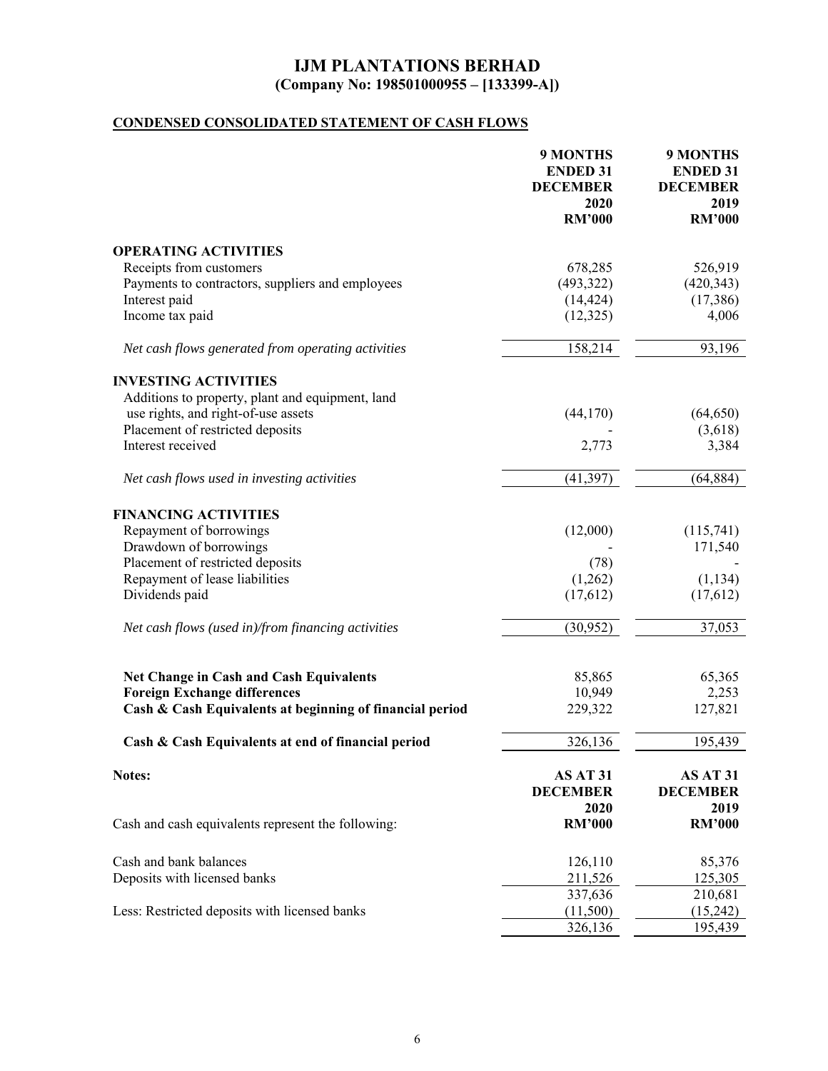# **CONDENSED CONSOLIDATED STATEMENT OF CASH FLOWS**

|                                                          | 9 MONTHS<br><b>ENDED 31</b><br><b>DECEMBER</b><br>2020<br><b>RM'000</b> | <b>9 MONTHS</b><br><b>ENDED 31</b><br><b>DECEMBER</b><br>2019<br><b>RM'000</b> |
|----------------------------------------------------------|-------------------------------------------------------------------------|--------------------------------------------------------------------------------|
| <b>OPERATING ACTIVITIES</b>                              |                                                                         |                                                                                |
| Receipts from customers                                  | 678,285                                                                 | 526,919                                                                        |
| Payments to contractors, suppliers and employees         | (493,322)                                                               | (420, 343)                                                                     |
| Interest paid                                            | (14, 424)                                                               | (17,386)                                                                       |
| Income tax paid                                          | (12, 325)                                                               | 4,006                                                                          |
| Net cash flows generated from operating activities       | 158,214                                                                 | 93,196                                                                         |
| <b>INVESTING ACTIVITIES</b>                              |                                                                         |                                                                                |
| Additions to property, plant and equipment, land         |                                                                         |                                                                                |
| use rights, and right-of-use assets                      | (44,170)                                                                | (64, 650)                                                                      |
| Placement of restricted deposits                         |                                                                         | (3,618)                                                                        |
| Interest received                                        | 2,773                                                                   | 3,384                                                                          |
| Net cash flows used in investing activities              | (41, 397)                                                               | (64, 884)                                                                      |
| <b>FINANCING ACTIVITIES</b>                              |                                                                         |                                                                                |
| Repayment of borrowings                                  | (12,000)                                                                | (115,741)                                                                      |
| Drawdown of borrowings                                   |                                                                         | 171,540                                                                        |
| Placement of restricted deposits                         | (78)                                                                    |                                                                                |
| Repayment of lease liabilities                           | (1,262)                                                                 | (1, 134)                                                                       |
| Dividends paid                                           | (17,612)                                                                | (17,612)                                                                       |
| Net cash flows (used in)/from financing activities       | (30,952)                                                                | 37,053                                                                         |
|                                                          |                                                                         |                                                                                |
| <b>Net Change in Cash and Cash Equivalents</b>           | 85,865                                                                  | 65,365                                                                         |
| <b>Foreign Exchange differences</b>                      | 10,949                                                                  | 2,253                                                                          |
| Cash & Cash Equivalents at beginning of financial period | 229,322                                                                 | 127,821                                                                        |
| Cash & Cash Equivalents at end of financial period       | 326,136                                                                 | 195,439                                                                        |
| Notes:                                                   | AS AT 31<br><b>DECEMBER</b><br>2020                                     | AS AT 31<br><b>DECEMBER</b><br>2019                                            |
| Cash and cash equivalents represent the following:       | <b>RM'000</b>                                                           | <b>RM'000</b>                                                                  |
| Cash and bank balances                                   | 126,110                                                                 | 85,376                                                                         |
| Deposits with licensed banks                             | 211,526                                                                 | 125,305                                                                        |
|                                                          | 337,636                                                                 | 210,681                                                                        |
| Less: Restricted deposits with licensed banks            | (11,500)                                                                | (15,242)                                                                       |
|                                                          | 326,136                                                                 | 195,439                                                                        |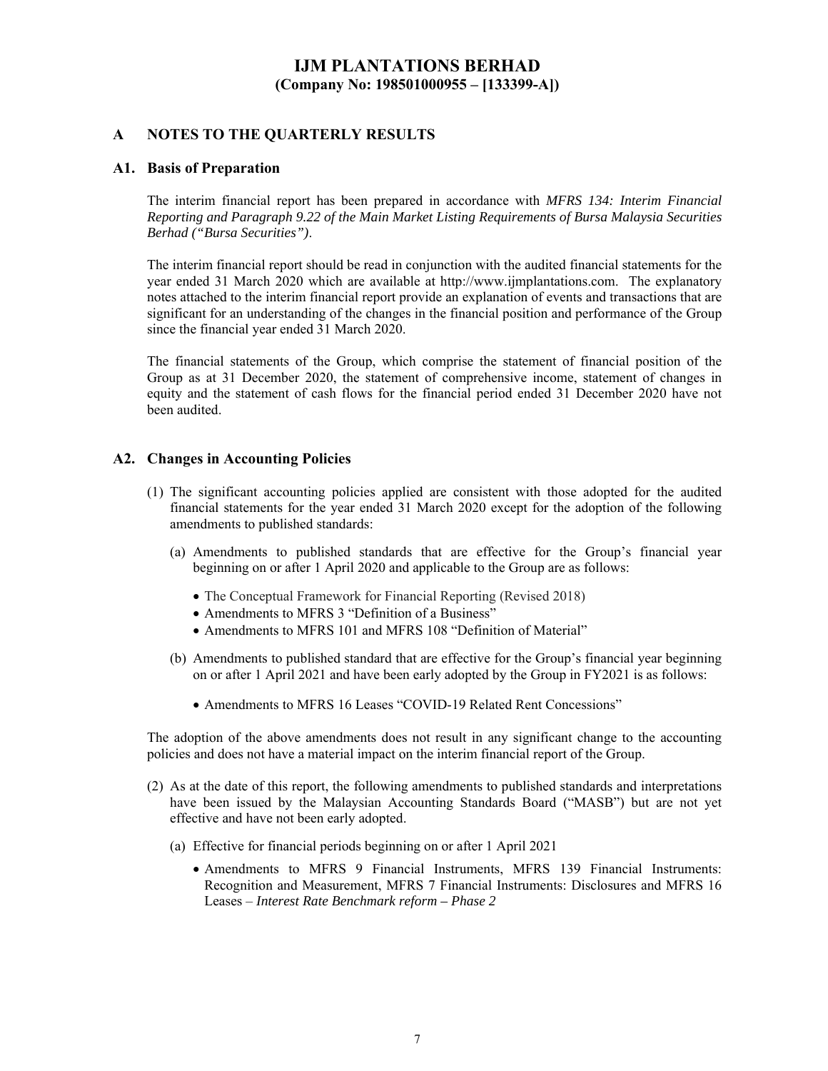#### **A NOTES TO THE QUARTERLY RESULTS**

#### **A1. Basis of Preparation**

The interim financial report has been prepared in accordance with *MFRS 134: Interim Financial Reporting and Paragraph 9.22 of the Main Market Listing Requirements of Bursa Malaysia Securities Berhad ("Bursa Securities")*.

The interim financial report should be read in conjunction with the audited financial statements for the year ended 31 March 2020 which are available at http://www.ijmplantations.com. The explanatory notes attached to the interim financial report provide an explanation of events and transactions that are significant for an understanding of the changes in the financial position and performance of the Group since the financial year ended 31 March 2020.

The financial statements of the Group, which comprise the statement of financial position of the Group as at 31 December 2020, the statement of comprehensive income, statement of changes in equity and the statement of cash flows for the financial period ended 31 December 2020 have not been audited.

#### **A2. Changes in Accounting Policies**

- (1) The significant accounting policies applied are consistent with those adopted for the audited financial statements for the year ended 31 March 2020 except for the adoption of the following amendments to published standards:
	- (a) Amendments to published standards that are effective for the Group's financial year beginning on or after 1 April 2020 and applicable to the Group are as follows:
		- The Conceptual Framework for Financial Reporting (Revised 2018)
		- Amendments to MFRS 3 "Definition of a Business"
		- Amendments to MFRS 101 and MFRS 108 "Definition of Material"
	- (b) Amendments to published standard that are effective for the Group's financial year beginning on or after 1 April 2021 and have been early adopted by the Group in FY2021 is as follows:
		- Amendments to MFRS 16 Leases "COVID-19 Related Rent Concessions"

The adoption of the above amendments does not result in any significant change to the accounting policies and does not have a material impact on the interim financial report of the Group.

- (2) As at the date of this report, the following amendments to published standards and interpretations have been issued by the Malaysian Accounting Standards Board ("MASB") but are not yet effective and have not been early adopted.
	- (a) Effective for financial periods beginning on or after 1 April 2021
		- Amendments to MFRS 9 Financial Instruments, MFRS 139 Financial Instruments: Recognition and Measurement, MFRS 7 Financial Instruments: Disclosures and MFRS 16 Leases – *Interest Rate Benchmark reform – Phase 2*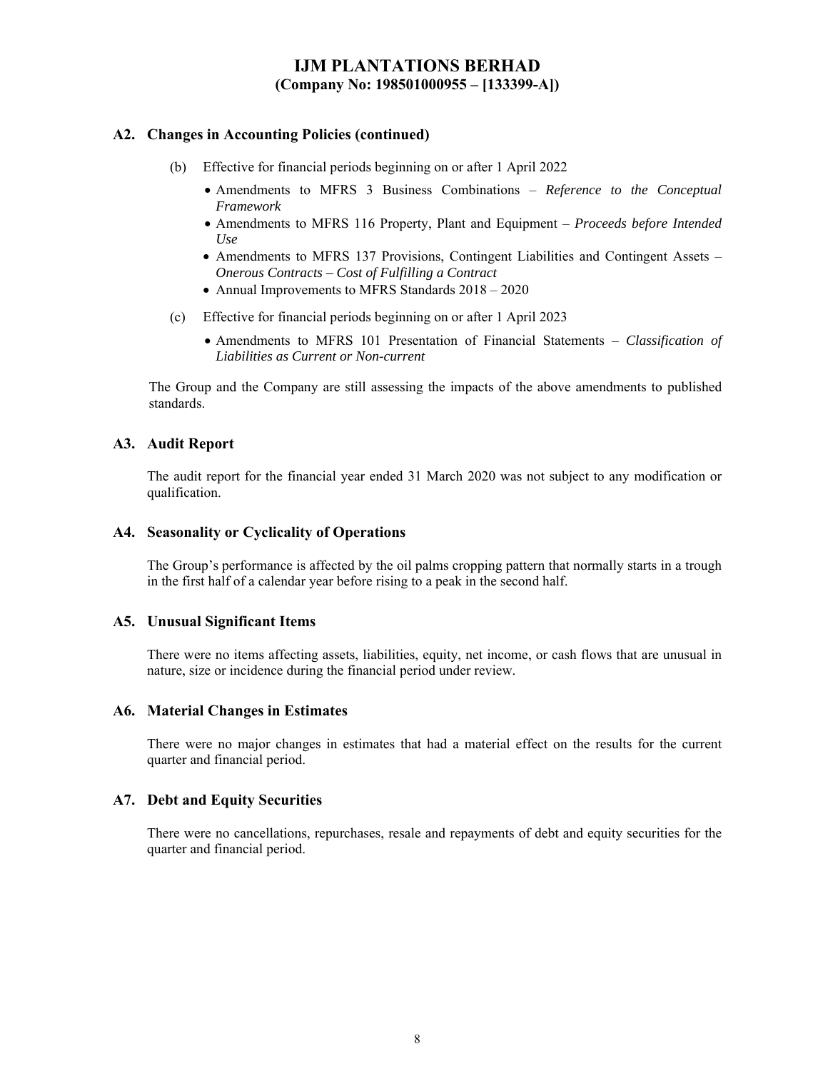#### **A2. Changes in Accounting Policies (continued)**

- (b) Effective for financial periods beginning on or after 1 April 2022
	- Amendments to MFRS 3 Business Combinations *Reference to the Conceptual Framework*
	- Amendments to MFRS 116 Property, Plant and Equipment *Proceeds before Intended Use*
	- Amendments to MFRS 137 Provisions, Contingent Liabilities and Contingent Assets *Onerous Contracts – Cost of Fulfilling a Contract*
	- Annual Improvements to MFRS Standards  $2018 2020$
- (c) Effective for financial periods beginning on or after 1 April 2023
	- Amendments to MFRS 101 Presentation of Financial Statements *Classification of Liabilities as Current or Non-current*

The Group and the Company are still assessing the impacts of the above amendments to published standards.

#### **A3. Audit Report**

The audit report for the financial year ended 31 March 2020 was not subject to any modification or qualification.

#### **A4. Seasonality or Cyclicality of Operations**

The Group's performance is affected by the oil palms cropping pattern that normally starts in a trough in the first half of a calendar year before rising to a peak in the second half.

#### **A5. Unusual Significant Items**

There were no items affecting assets, liabilities, equity, net income, or cash flows that are unusual in nature, size or incidence during the financial period under review.

#### **A6. Material Changes in Estimates**

There were no major changes in estimates that had a material effect on the results for the current quarter and financial period.

#### **A7. Debt and Equity Securities**

There were no cancellations, repurchases, resale and repayments of debt and equity securities for the quarter and financial period.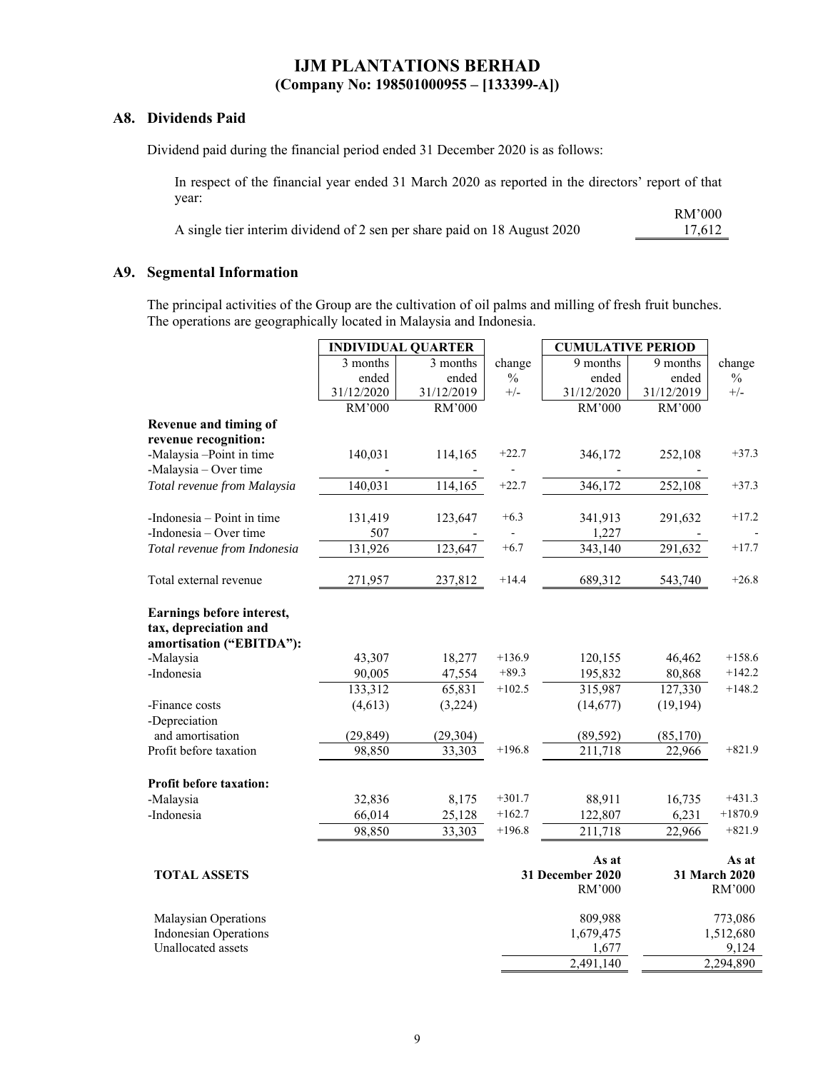#### **A8. Dividends Paid**

Dividend paid during the financial period ended 31 December 2020 is as follows:

In respect of the financial year ended 31 March 2020 as reported in the directors' report of that year: RM'000

|                                                                          | THEY AVA |
|--------------------------------------------------------------------------|----------|
| A single tier interim dividend of 2 sen per share paid on 18 August 2020 | 17.612   |

#### **A9. Segmental Information**

The principal activities of the Group are the cultivation of oil palms and milling of fresh fruit bunches. The operations are geographically located in Malaysia and Indonesia.

|                                                                                |            | <b>INDIVIDUAL QUARTER</b> |               | <b>CUMULATIVE PERIOD</b>  |            |                        |
|--------------------------------------------------------------------------------|------------|---------------------------|---------------|---------------------------|------------|------------------------|
|                                                                                | 3 months   | 3 months                  | change        | 9 months                  | 9 months   | change                 |
|                                                                                | ended      | ended                     | $\frac{0}{0}$ | ended                     | ended      | $\frac{0}{0}$          |
|                                                                                | 31/12/2020 | 31/12/2019                | $+/-$         | 31/12/2020                | 31/12/2019 | $+/-$                  |
|                                                                                | RM'000     | RM'000                    |               | RM'000                    | RM'000     |                        |
| Revenue and timing of                                                          |            |                           |               |                           |            |                        |
| revenue recognition:                                                           |            |                           |               |                           |            |                        |
| -Malaysia-Point in time                                                        | 140,031    | 114,165                   | $+22.7$       | 346,172                   | 252,108    | $+37.3$                |
| -Malaysia - Over time                                                          |            |                           |               |                           |            |                        |
| Total revenue from Malaysia                                                    | 140,031    | 114,165                   | $+22.7$       | 346,172                   | 252,108    | $+37.3$                |
| -Indonesia – Point in time                                                     | 131,419    | 123,647                   | $+6.3$        | 341,913                   | 291,632    | $+17.2$                |
| -Indonesia - Over time                                                         | 507        |                           |               | 1,227                     |            |                        |
| Total revenue from Indonesia                                                   | 131,926    | 123,647                   | $+6.7$        | $\overline{3}$ 43,140     | 291,632    | $+17.7$                |
| Total external revenue                                                         | 271,957    | 237,812                   | $+14.4$       | 689,312                   | 543,740    | $+26.8$                |
| Earnings before interest,<br>tax, depreciation and<br>amortisation ("EBITDA"): |            |                           |               |                           |            |                        |
| -Malaysia                                                                      | 43,307     | 18,277                    | $+136.9$      | 120,155                   | 46,462     | $+158.6$               |
| -Indonesia                                                                     | 90,005     | 47,554                    | $+89.3$       | 195,832                   | 80,868     | $+142.2$               |
|                                                                                | 133,312    | 65,831                    | $+102.5$      | 315,987                   | 127,330    | $+148.2$               |
| -Finance costs                                                                 | (4,613)    | (3,224)                   |               | (14, 677)                 | (19, 194)  |                        |
| -Depreciation                                                                  |            |                           |               |                           |            |                        |
| and amortisation                                                               | (29, 849)  | (29, 304)                 |               | (89, 592)                 | (85,170)   |                        |
| Profit before taxation                                                         | 98,850     | 33,303                    | $+196.8$      | 211,718                   | 22,966     | $+821.9$               |
| <b>Profit before taxation:</b>                                                 |            |                           |               |                           |            |                        |
| -Malaysia                                                                      | 32,836     | 8,175                     | $+301.7$      | 88,911                    | 16,735     | $+431.3$               |
| -Indonesia                                                                     | 66,014     | 25,128                    | $+162.7$      | 122,807                   | 6,231      | $+1870.9$              |
|                                                                                | 98,850     | 33,303                    | $+196.8$      | 211,718                   | 22,966     | $+821.9$               |
| <b>TOTAL ASSETS</b>                                                            |            |                           |               | As at<br>31 December 2020 |            | As at<br>31 March 2020 |
|                                                                                |            |                           |               | RM'000                    |            | RM'000                 |
| Malaysian Operations                                                           |            |                           |               | 809,988                   |            | 773,086                |
| <b>Indonesian Operations</b>                                                   |            |                           |               | 1,679,475                 |            | 1,512,680              |
| Unallocated assets                                                             |            |                           |               | 1,677                     |            | 9,124                  |
|                                                                                |            |                           |               | 2,491,140                 |            | 2,294,890              |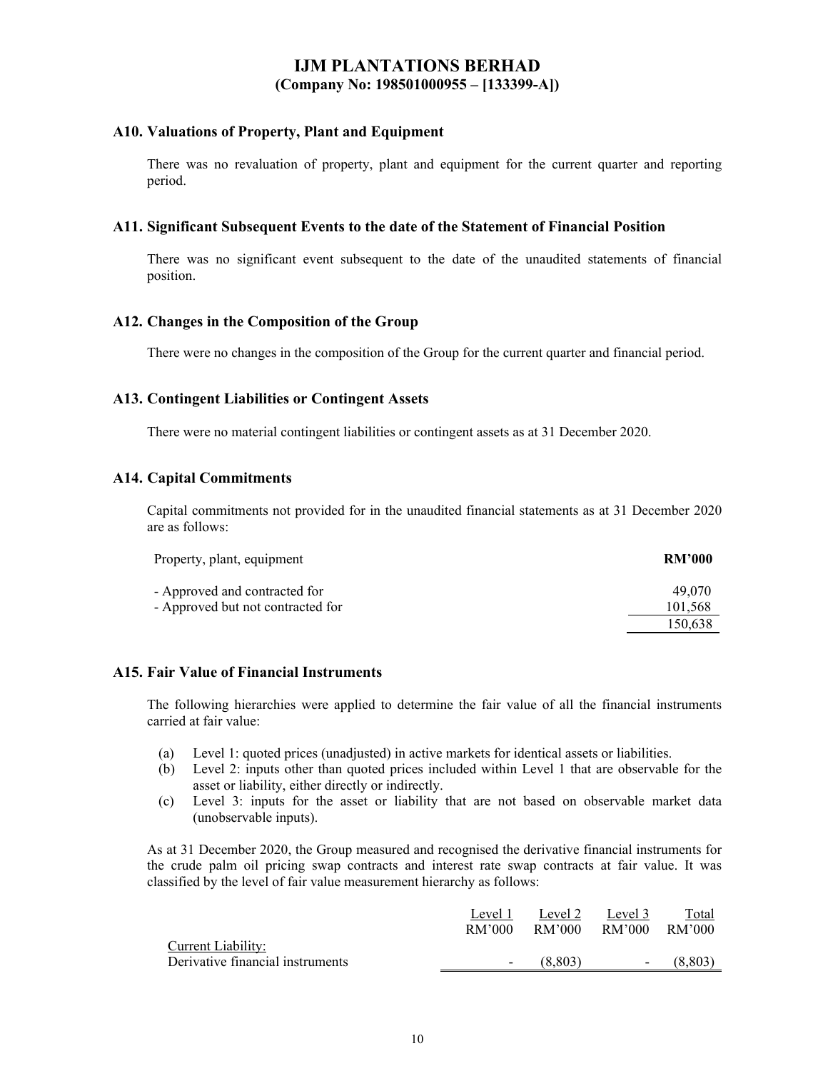#### **A10. Valuations of Property, Plant and Equipment**

There was no revaluation of property, plant and equipment for the current quarter and reporting period.

#### **A11. Significant Subsequent Events to the date of the Statement of Financial Position**

There was no significant event subsequent to the date of the unaudited statements of financial position.

#### **A12. Changes in the Composition of the Group**

There were no changes in the composition of the Group for the current quarter and financial period.

#### **A13. Contingent Liabilities or Contingent Assets**

There were no material contingent liabilities or contingent assets as at 31 December 2020.

#### **A14. Capital Commitments**

Capital commitments not provided for in the unaudited financial statements as at 31 December 2020 are as follows:

| Property, plant, equipment        | <b>RM'000</b> |
|-----------------------------------|---------------|
| - Approved and contracted for     | 49.070        |
| - Approved but not contracted for | 101,568       |
|                                   | 150.638       |

#### **A15. Fair Value of Financial Instruments**

The following hierarchies were applied to determine the fair value of all the financial instruments carried at fair value:

- (a) Level 1: quoted prices (unadjusted) in active markets for identical assets or liabilities.
- (b) Level 2: inputs other than quoted prices included within Level 1 that are observable for the asset or liability, either directly or indirectly.
- (c) Level 3: inputs for the asset or liability that are not based on observable market data (unobservable inputs).

As at 31 December 2020, the Group measured and recognised the derivative financial instruments for the crude palm oil pricing swap contracts and interest rate swap contracts at fair value. It was classified by the level of fair value measurement hierarchy as follows:

|                                  | Level 1                  | Level 2 | Level 3                  | Total    |
|----------------------------------|--------------------------|---------|--------------------------|----------|
|                                  | RM'000                   | RM'000  | RM'000                   | - RM'000 |
| Current Liability:               |                          |         |                          |          |
| Derivative financial instruments | $\overline{\phantom{a}}$ | (8.803) | $\overline{\phantom{a}}$ | (8.803)  |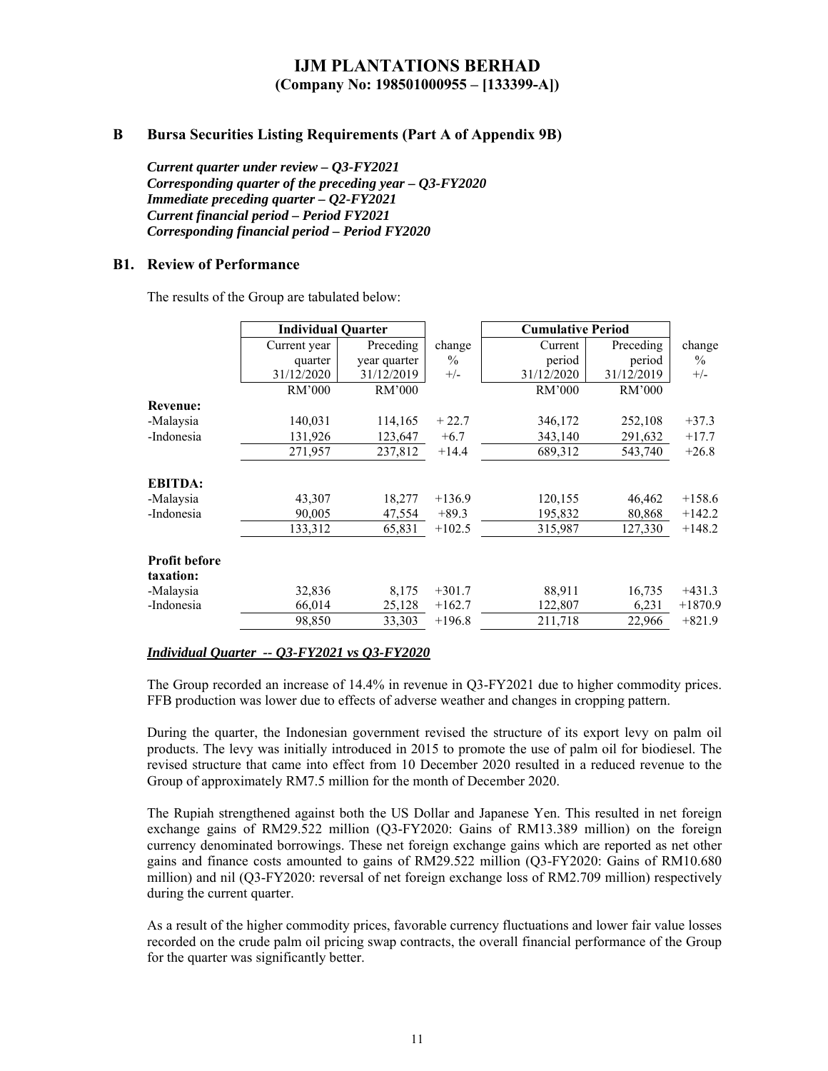#### **B Bursa Securities Listing Requirements (Part A of Appendix 9B)**

*Current quarter under review – Q3-FY2021 Corresponding quarter of the preceding year – Q3-FY2020 Immediate preceding quarter – Q2-FY2021 Current financial period – Period FY2021 Corresponding financial period – Period FY2020* 

#### **B1. Review of Performance**

The results of the Group are tabulated below:

|                                   | <b>Individual Quarter</b> |              |          | <b>Cumulative Period</b> |            |               |
|-----------------------------------|---------------------------|--------------|----------|--------------------------|------------|---------------|
|                                   | Current year              | Preceding    | change   | Current                  | Preceding  | change        |
|                                   | quarter                   | year quarter | $\%$     | period                   | period     | $\frac{0}{0}$ |
|                                   | 31/12/2020                | 31/12/2019   | $+/-$    | 31/12/2020               | 31/12/2019 | $+/-$         |
|                                   | RM'000                    | RM'000       |          | RM'000                   | RM'000     |               |
| <b>Revenue:</b>                   |                           |              |          |                          |            |               |
| -Malaysia                         | 140,031                   | 114,165      | $+22.7$  | 346,172                  | 252,108    | $+37.3$       |
| -Indonesia                        | 131,926                   | 123,647      | $+6.7$   | 343,140                  | 291,632    | $+17.7$       |
|                                   | 271,957                   | 237,812      | $+14.4$  | 689,312                  | 543,740    | $+26.8$       |
| <b>EBITDA:</b>                    |                           |              |          |                          |            |               |
| -Malaysia                         | 43,307                    | 18,277       | $+136.9$ | 120,155                  | 46,462     | $+158.6$      |
| -Indonesia                        | 90,005                    | 47,554       | $+89.3$  | 195,832                  | 80,868     | $+142.2$      |
|                                   | 133,312                   | 65,831       | $+102.5$ | 315,987                  | 127,330    | $+148.2$      |
| <b>Profit before</b><br>taxation: |                           |              |          |                          |            |               |
| -Malaysia                         | 32,836                    | 8,175        | $+301.7$ | 88,911                   | 16,735     | $+431.3$      |
| -Indonesia                        | 66,014                    | 25,128       | $+162.7$ | 122,807                  | 6,231      | $+1870.9$     |
|                                   | 98,850                    | 33,303       | $+196.8$ | 211,718                  | 22,966     | $+821.9$      |

#### *Individual Quarter -- Q3-FY2021 vs Q3-FY2020*

The Group recorded an increase of 14.4% in revenue in Q3-FY2021 due to higher commodity prices. FFB production was lower due to effects of adverse weather and changes in cropping pattern.

During the quarter, the Indonesian government revised the structure of its export levy on palm oil products. The levy was initially introduced in 2015 to promote the use of palm oil for biodiesel. The revised structure that came into effect from 10 December 2020 resulted in a reduced revenue to the Group of approximately RM7.5 million for the month of December 2020.

The Rupiah strengthened against both the US Dollar and Japanese Yen. This resulted in net foreign exchange gains of RM29.522 million (Q3-FY2020: Gains of RM13.389 million) on the foreign currency denominated borrowings. These net foreign exchange gains which are reported as net other gains and finance costs amounted to gains of RM29.522 million (Q3-FY2020: Gains of RM10.680 million) and nil (Q3-FY2020: reversal of net foreign exchange loss of RM2.709 million) respectively during the current quarter.

As a result of the higher commodity prices, favorable currency fluctuations and lower fair value losses recorded on the crude palm oil pricing swap contracts, the overall financial performance of the Group for the quarter was significantly better.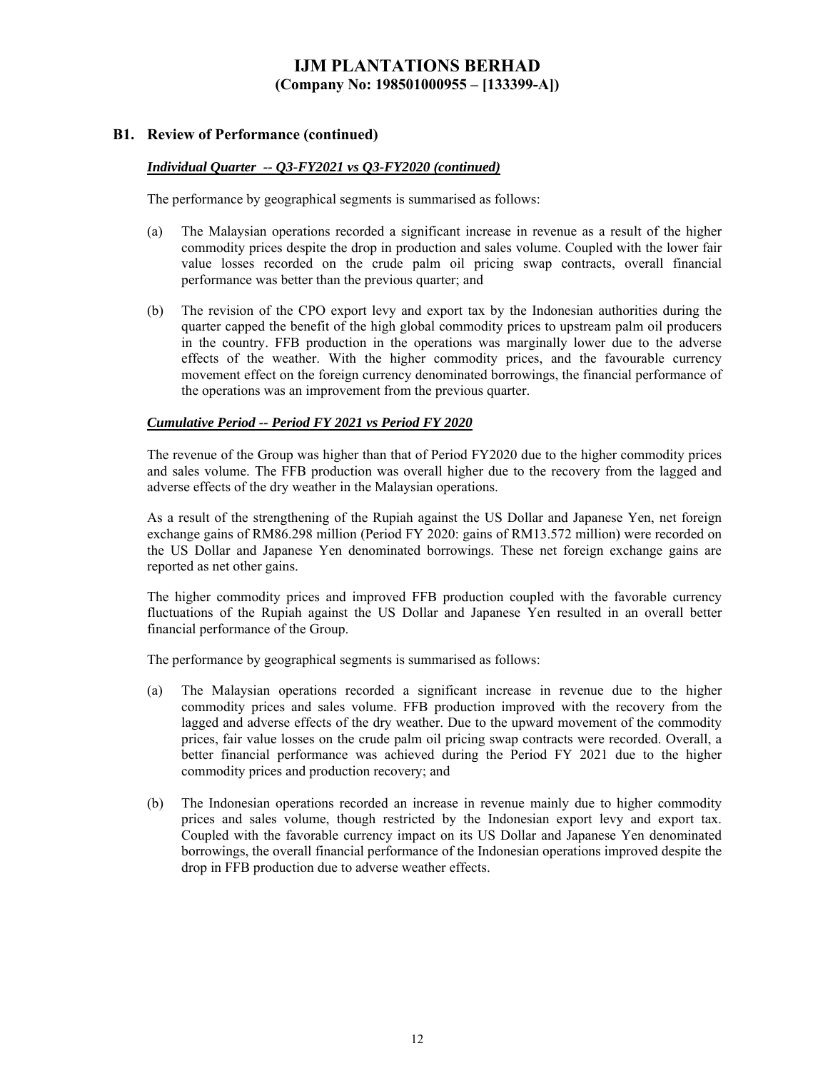#### **B1. Review of Performance (continued)**

#### *Individual Quarter -- Q3-FY2021 vs Q3-FY2020 (continued)*

The performance by geographical segments is summarised as follows:

- (a) The Malaysian operations recorded a significant increase in revenue as a result of the higher commodity prices despite the drop in production and sales volume. Coupled with the lower fair value losses recorded on the crude palm oil pricing swap contracts, overall financial performance was better than the previous quarter; and
- (b) The revision of the CPO export levy and export tax by the Indonesian authorities during the quarter capped the benefit of the high global commodity prices to upstream palm oil producers in the country. FFB production in the operations was marginally lower due to the adverse effects of the weather. With the higher commodity prices, and the favourable currency movement effect on the foreign currency denominated borrowings, the financial performance of the operations was an improvement from the previous quarter.

#### *Cumulative Period -- Period FY 2021 vs Period FY 2020*

The revenue of the Group was higher than that of Period FY2020 due to the higher commodity prices and sales volume. The FFB production was overall higher due to the recovery from the lagged and adverse effects of the dry weather in the Malaysian operations.

As a result of the strengthening of the Rupiah against the US Dollar and Japanese Yen, net foreign exchange gains of RM86.298 million (Period FY 2020: gains of RM13.572 million) were recorded on the US Dollar and Japanese Yen denominated borrowings. These net foreign exchange gains are reported as net other gains.

The higher commodity prices and improved FFB production coupled with the favorable currency fluctuations of the Rupiah against the US Dollar and Japanese Yen resulted in an overall better financial performance of the Group.

The performance by geographical segments is summarised as follows:

- (a) The Malaysian operations recorded a significant increase in revenue due to the higher commodity prices and sales volume. FFB production improved with the recovery from the lagged and adverse effects of the dry weather. Due to the upward movement of the commodity prices, fair value losses on the crude palm oil pricing swap contracts were recorded. Overall, a better financial performance was achieved during the Period FY 2021 due to the higher commodity prices and production recovery; and
- (b) The Indonesian operations recorded an increase in revenue mainly due to higher commodity prices and sales volume, though restricted by the Indonesian export levy and export tax. Coupled with the favorable currency impact on its US Dollar and Japanese Yen denominated borrowings, the overall financial performance of the Indonesian operations improved despite the drop in FFB production due to adverse weather effects.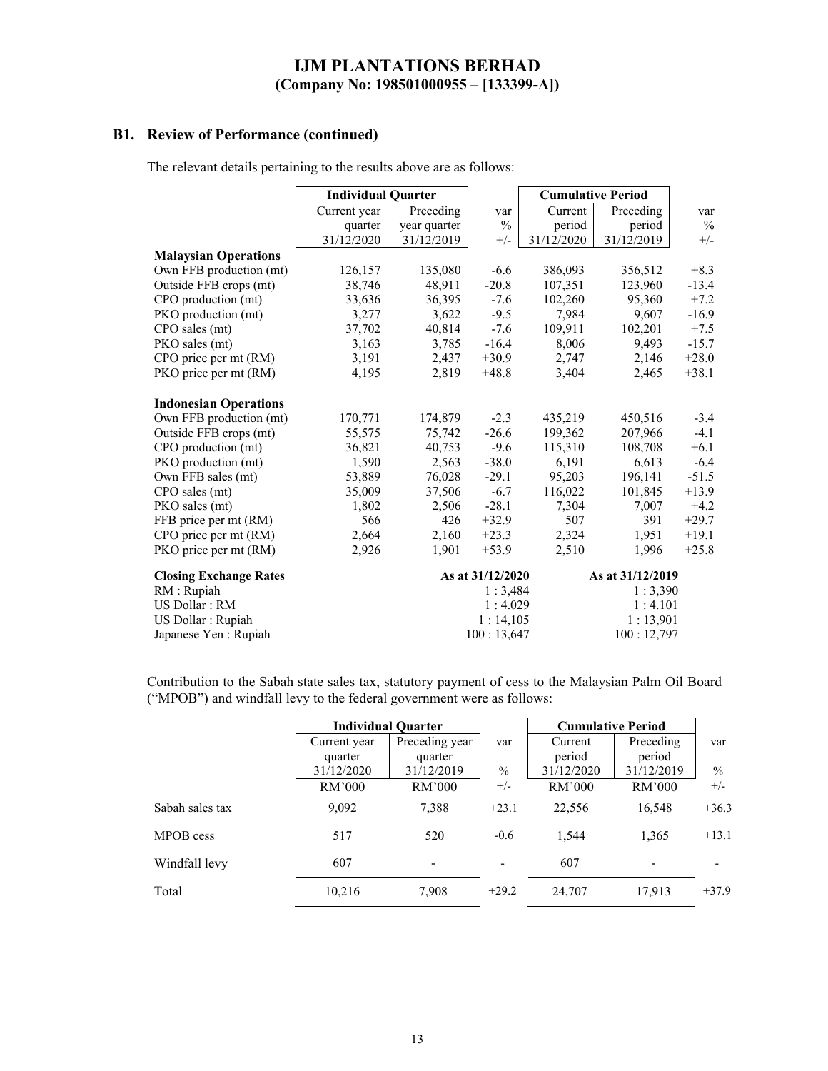### **B1. Review of Performance (continued)**

The relevant details pertaining to the results above are as follows:

|                               | <b>Individual Quarter</b> |              |                  | <b>Cumulative Period</b> |                  |               |
|-------------------------------|---------------------------|--------------|------------------|--------------------------|------------------|---------------|
|                               | Current year              | Preceding    | var              | Current                  | Preceding        | var           |
|                               | quarter                   | year quarter | $\%$             | period                   | period           | $\frac{0}{0}$ |
|                               | 31/12/2020                | 31/12/2019   | $+/-$            | 31/12/2020               | 31/12/2019       | $+/-$         |
| <b>Malaysian Operations</b>   |                           |              |                  |                          |                  |               |
| Own FFB production (mt)       | 126,157                   | 135,080      | $-6.6$           | 386,093                  | 356,512          | $+8.3$        |
| Outside FFB crops (mt)        | 38,746                    | 48,911       | $-20.8$          | 107,351                  | 123,960          | $-13.4$       |
| CPO production (mt)           | 33,636                    | 36,395       | $-7.6$           | 102,260                  | 95,360           | $+7.2$        |
| PKO production (mt)           | 3,277                     | 3,622        | $-9.5$           | 7,984                    | 9,607            | $-16.9$       |
| CPO sales (mt)                | 37,702                    | 40,814       | $-7.6$           | 109,911                  | 102,201          | $+7.5$        |
| PKO sales (mt)                | 3,163                     | 3,785        | $-16.4$          | 8,006                    | 9,493            | $-15.7$       |
| CPO price per mt (RM)         | 3,191                     | 2,437        | $+30.9$          | 2,747                    | 2,146            | $+28.0$       |
| PKO price per mt (RM)         | 4,195                     | 2,819        | $+48.8$          | 3,404                    | 2,465            | $+38.1$       |
| <b>Indonesian Operations</b>  |                           |              |                  |                          |                  |               |
| Own FFB production (mt)       | 170,771                   | 174,879      | $-2.3$           | 435,219                  | 450,516          | $-3.4$        |
| Outside FFB crops (mt)        | 55,575                    | 75,742       | $-26.6$          | 199,362                  | 207,966          | $-4.1$        |
| CPO production (mt)           | 36,821                    | 40,753       | $-9.6$           | 115,310                  | 108,708          | $+6.1$        |
| PKO production (mt)           | 1,590                     | 2,563        | $-38.0$          | 6,191                    | 6,613            | $-6.4$        |
| Own FFB sales (mt)            | 53,889                    | 76,028       | $-29.1$          | 95,203                   | 196,141          | $-51.5$       |
| CPO sales (mt)                | 35,009                    | 37,506       | $-6.7$           | 116,022                  | 101,845          | $+13.9$       |
| PKO sales (mt)                | 1,802                     | 2,506        | $-28.1$          | 7,304                    | 7,007            | $+4.2$        |
| FFB price per mt (RM)         | 566                       | 426          | $+32.9$          | 507                      | 391              | $+29.7$       |
| CPO price per mt (RM)         | 2,664                     | 2,160        | $+23.3$          | 2,324                    | 1,951            | $+19.1$       |
| PKO price per mt (RM)         | 2,926                     | 1,901        | $+53.9$          | 2,510                    | 1,996            | $+25.8$       |
| <b>Closing Exchange Rates</b> |                           |              | As at 31/12/2020 |                          | As at 31/12/2019 |               |
| RM: Rupiah                    |                           |              | 1:3,484          |                          | 1:3,390          |               |
| US Dollar: RM                 |                           |              | 1:4.029          |                          | 1:4.101          |               |
| US Dollar : Rupiah            |                           |              | 1:14,105         |                          | 1:13,901         |               |
| Japanese Yen: Rupiah          |                           |              | 100:13,647       |                          | 100:12,797       |               |

Contribution to the Sabah state sales tax, statutory payment of cess to the Malaysian Palm Oil Board ("MPOB") and windfall levy to the federal government were as follows:

|                 | <b>Individual Quarter</b> |                |               | <b>Cumulative Period</b> |                          |                          |
|-----------------|---------------------------|----------------|---------------|--------------------------|--------------------------|--------------------------|
|                 | Current year              | Preceding year | var           | Current                  | Preceding                | var                      |
|                 | quarter                   | quarter        |               | period                   | period                   |                          |
|                 | 31/12/2020                | 31/12/2019     | $\frac{0}{0}$ | 31/12/2020               | 31/12/2019               | $\frac{0}{0}$            |
|                 | RM'000                    | RM'000         | $+/-$         | RM'000                   | RM'000                   | $+/-$                    |
| Sabah sales tax | 9,092                     | 7,388          | $+23.1$       | 22,556                   | 16,548                   | $+36.3$                  |
| MPOB cess       | 517                       | 520            | $-0.6$        | 1,544                    | 1,365                    | $+13.1$                  |
| Windfall levy   | 607                       |                |               | 607                      | $\overline{\phantom{a}}$ | $\overline{\phantom{a}}$ |
| Total           | 10,216                    | 7,908          | $+29.2$       | 24,707                   | 17,913                   | $+37.9$                  |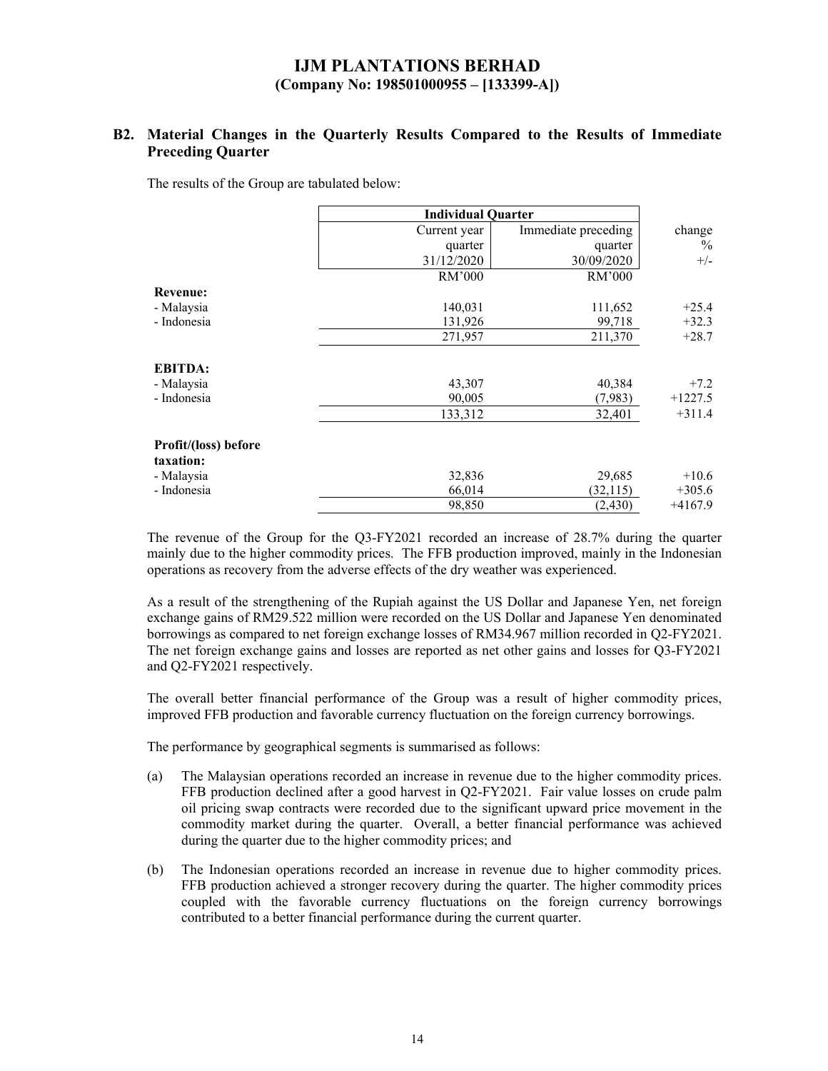### **B2. Material Changes in the Quarterly Results Compared to the Results of Immediate Preceding Quarter**

The results of the Group are tabulated below:

|                                   | <b>Individual Quarter</b> |                     |                       |
|-----------------------------------|---------------------------|---------------------|-----------------------|
|                                   | Current year              | Immediate preceding | change                |
|                                   | quarter                   | quarter             | $\%$                  |
|                                   | 31/12/2020                | 30/09/2020          | $+/-$                 |
|                                   | RM'000                    | RM'000              |                       |
| <b>Revenue:</b>                   |                           |                     |                       |
| - Malaysia                        | 140,031                   | 111,652             | $+25.4$               |
| - Indonesia                       | 131,926                   | 99,718              | $+32.3$               |
|                                   | 271,957                   | 211,370             | $+28.7$               |
| <b>EBITDA:</b>                    |                           |                     |                       |
| - Malaysia                        | 43,307                    | 40,384              | $+7.2$                |
| - Indonesia                       | 90,005<br>133,312         | (7,983)<br>32,401   | $+1227.5$<br>$+311.4$ |
| Profit/(loss) before<br>taxation: |                           |                     |                       |
| - Malaysia                        | 32,836                    | 29,685              | $+10.6$               |
| - Indonesia                       | 66,014                    | (32, 115)           | $+305.6$              |
|                                   | 98,850                    | (2, 430)            | $+4167.9$             |

The revenue of the Group for the Q3-FY2021 recorded an increase of 28.7% during the quarter mainly due to the higher commodity prices. The FFB production improved, mainly in the Indonesian operations as recovery from the adverse effects of the dry weather was experienced.

As a result of the strengthening of the Rupiah against the US Dollar and Japanese Yen, net foreign exchange gains of RM29.522 million were recorded on the US Dollar and Japanese Yen denominated borrowings as compared to net foreign exchange losses of RM34.967 million recorded in Q2-FY2021. The net foreign exchange gains and losses are reported as net other gains and losses for Q3-FY2021 and Q2-FY2021 respectively.

The overall better financial performance of the Group was a result of higher commodity prices, improved FFB production and favorable currency fluctuation on the foreign currency borrowings.

The performance by geographical segments is summarised as follows:

- (a) The Malaysian operations recorded an increase in revenue due to the higher commodity prices. FFB production declined after a good harvest in Q2-FY2021. Fair value losses on crude palm oil pricing swap contracts were recorded due to the significant upward price movement in the commodity market during the quarter. Overall, a better financial performance was achieved during the quarter due to the higher commodity prices; and
- (b) The Indonesian operations recorded an increase in revenue due to higher commodity prices. FFB production achieved a stronger recovery during the quarter. The higher commodity prices coupled with the favorable currency fluctuations on the foreign currency borrowings contributed to a better financial performance during the current quarter.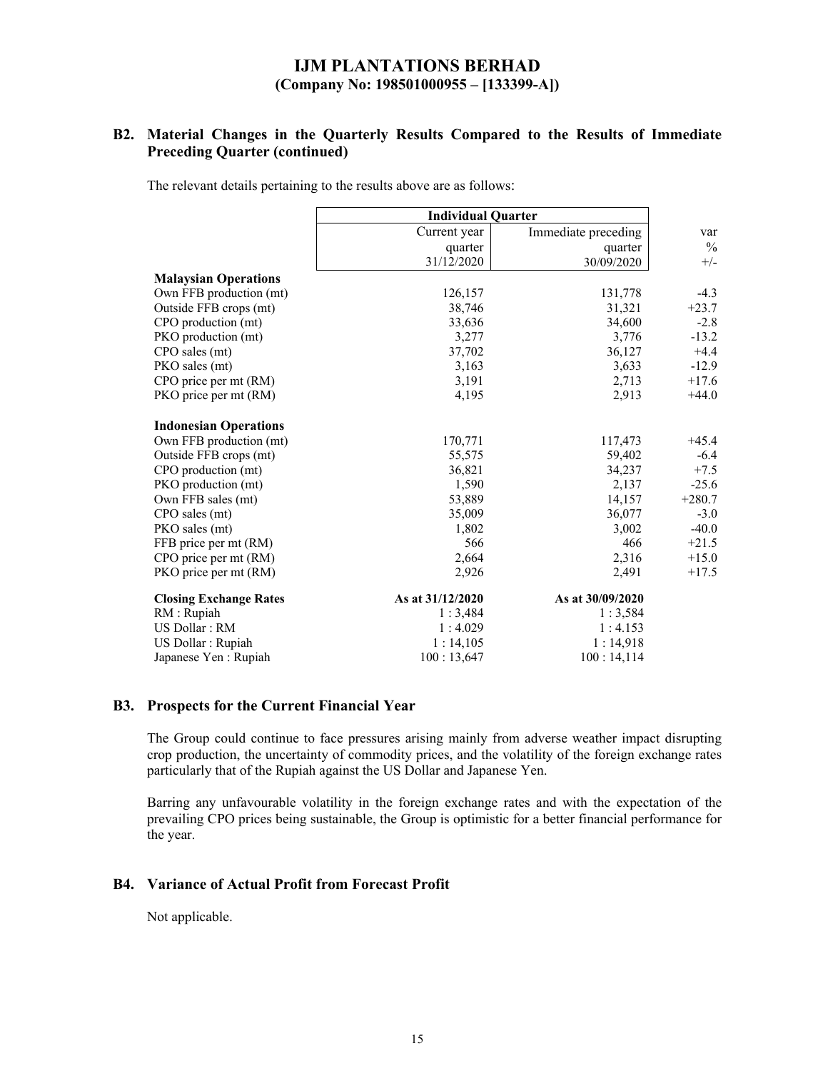### **B2. Material Changes in the Quarterly Results Compared to the Results of Immediate Preceding Quarter (continued)**

The relevant details pertaining to the results above are as follows:

|                               | <b>Individual Quarter</b> |                     |               |
|-------------------------------|---------------------------|---------------------|---------------|
|                               | Current year              | Immediate preceding | var           |
|                               | quarter                   | quarter             | $\frac{0}{0}$ |
|                               | 31/12/2020                | 30/09/2020          | $+/-$         |
| <b>Malaysian Operations</b>   |                           |                     |               |
| Own FFB production (mt)       | 126,157                   | 131,778             | $-4.3$        |
| Outside FFB crops (mt)        | 38,746                    | 31,321              | $+23.7$       |
| CPO production (mt)           | 33,636                    | 34,600              | $-2.8$        |
| PKO production (mt)           | 3,277                     | 3,776               | $-13.2$       |
| CPO sales (mt)                | 37,702                    | 36,127              | $+4.4$        |
| PKO sales (mt)                | 3,163                     | 3,633               | $-12.9$       |
| CPO price per mt (RM)         | 3,191                     | 2,713               | $+17.6$       |
| PKO price per mt (RM)         | 4,195                     | 2,913               | $+44.0$       |
| <b>Indonesian Operations</b>  |                           |                     |               |
| Own FFB production (mt)       | 170,771                   | 117,473             | $+45.4$       |
| Outside FFB crops (mt)        | 55,575                    | 59,402              | $-6.4$        |
| CPO production (mt)           | 36,821                    | 34,237              | $+7.5$        |
| PKO production (mt)           | 1,590                     | 2,137               | $-25.6$       |
| Own FFB sales (mt)            | 53,889                    | 14,157              | $+280.7$      |
| CPO sales (mt)                | 35,009                    | 36,077              | $-3.0$        |
| PKO sales (mt)                | 1,802                     | 3,002               | $-40.0$       |
| FFB price per mt (RM)         | 566                       | 466                 | $+21.5$       |
| CPO price per mt (RM)         | 2,664                     | 2,316               | $+15.0$       |
| PKO price per mt (RM)         | 2,926                     | 2,491               | $+17.5$       |
| <b>Closing Exchange Rates</b> | As at 31/12/2020          | As at 30/09/2020    |               |
| RM : Rupiah                   | 1:3,484                   | 1:3,584             |               |
| US Dollar: RM                 | 1:4.029                   | 1:4.153             |               |
| US Dollar : Rupiah            | 1:14,105                  | 1:14,918            |               |
| Japanese Yen : Rupiah         | 100:13,647                | 100:14,114          |               |

#### **B3. Prospects for the Current Financial Year**

The Group could continue to face pressures arising mainly from adverse weather impact disrupting crop production, the uncertainty of commodity prices, and the volatility of the foreign exchange rates particularly that of the Rupiah against the US Dollar and Japanese Yen.

Barring any unfavourable volatility in the foreign exchange rates and with the expectation of the prevailing CPO prices being sustainable, the Group is optimistic for a better financial performance for the year.

#### **B4. Variance of Actual Profit from Forecast Profit**

Not applicable.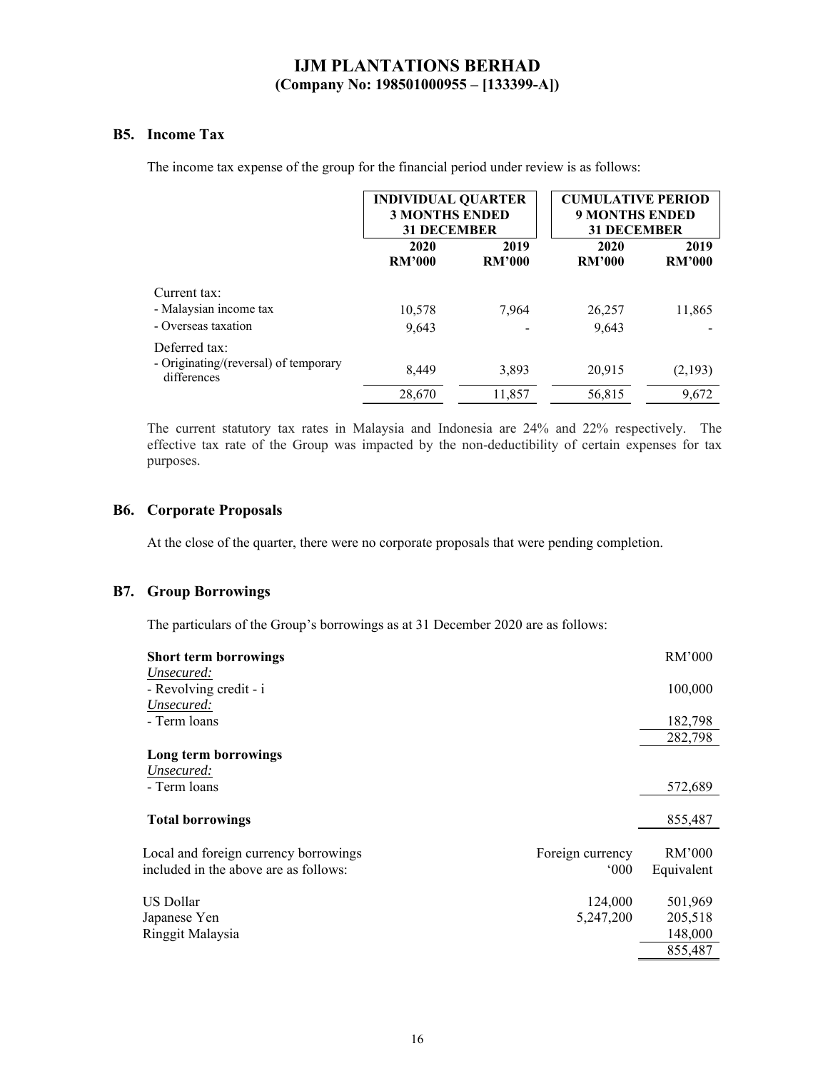### **B5. Income Tax**

The income tax expense of the group for the financial period under review is as follows:

|                                                      |                       | <b>INDIVIDUAL QUARTER</b><br><b>3 MONTHS ENDED</b><br><b>31 DECEMBER</b> |                       | <b>CUMULATIVE PERIOD</b><br><b>9 MONTHS ENDED</b><br><b>31 DECEMBER</b> |
|------------------------------------------------------|-----------------------|--------------------------------------------------------------------------|-----------------------|-------------------------------------------------------------------------|
|                                                      | 2020<br><b>RM'000</b> | 2019<br><b>RM'000</b>                                                    | 2020<br><b>RM'000</b> | 2019<br><b>RM'000</b>                                                   |
| Current tax:                                         |                       |                                                                          |                       |                                                                         |
| - Malaysian income tax                               | 10,578                | 7.964                                                                    | 26,257                | 11,865                                                                  |
| - Overseas taxation                                  | 9.643                 |                                                                          | 9,643                 |                                                                         |
| Deferred tax:                                        |                       |                                                                          |                       |                                                                         |
| - Originating/(reversal) of temporary<br>differences | 8,449                 | 3,893                                                                    | 20,915                | (2,193)                                                                 |
|                                                      | 28,670                | 11,857                                                                   | 56,815                | 9,672                                                                   |

The current statutory tax rates in Malaysia and Indonesia are 24% and 22% respectively. The effective tax rate of the Group was impacted by the non-deductibility of certain expenses for tax purposes.

#### **B6. Corporate Proposals**

At the close of the quarter, there were no corporate proposals that were pending completion.

#### **B7. Group Borrowings**

The particulars of the Group's borrowings as at 31 December 2020 are as follows:

| <b>Short term borrowings</b>                              | RM'000     |
|-----------------------------------------------------------|------------|
| Unsecured:                                                |            |
| - Revolving credit - i                                    | 100,000    |
| Unsecured:                                                |            |
| - Term loans                                              | 182,798    |
|                                                           | 282,798    |
| Long term borrowings                                      |            |
| Unsecured:                                                |            |
| - Term loans                                              | 572,689    |
| <b>Total borrowings</b>                                   | 855,487    |
|                                                           | RM'000     |
| Local and foreign currency borrowings<br>Foreign currency |            |
| included in the above are as follows:<br>$000^{\circ}$    | Equivalent |
| US Dollar<br>124,000                                      | 501,969    |
| 5,247,200<br>Japanese Yen                                 | 205,518    |
| Ringgit Malaysia                                          | 148,000    |
|                                                           | 855,487    |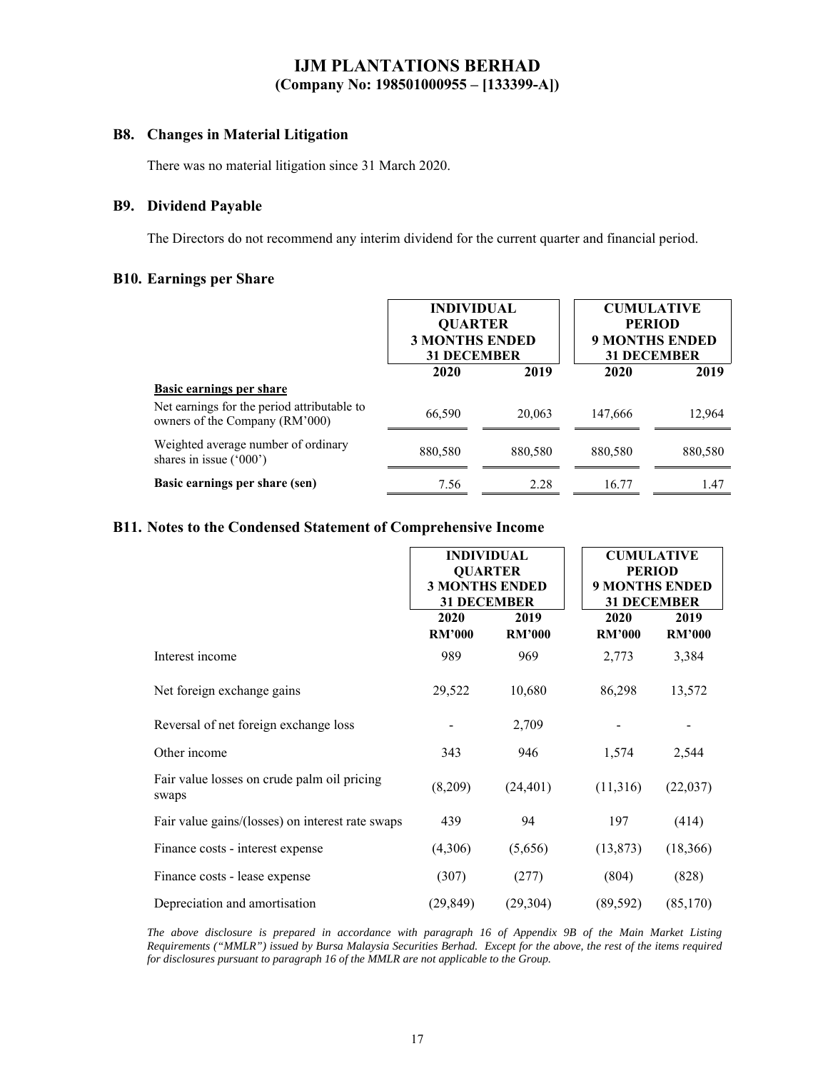#### **B8. Changes in Material Litigation**

There was no material litigation since 31 March 2020.

#### **B9. Dividend Payable**

The Directors do not recommend any interim dividend for the current quarter and financial period.

#### **B10. Earnings per Share**

|                                                                               | <b>INDIVIDUAL</b><br><b>QUARTER</b><br><b>3 MONTHS ENDED</b><br><b>31 DECEMBER</b> |         | <b>CUMULATIVE</b><br><b>PERIOD</b><br><b>9 MONTHS ENDED</b><br><b>31 DECEMBER</b> |         |
|-------------------------------------------------------------------------------|------------------------------------------------------------------------------------|---------|-----------------------------------------------------------------------------------|---------|
|                                                                               | 2020                                                                               | 2019    | 2020                                                                              | 2019    |
| Basic earnings per share                                                      |                                                                                    |         |                                                                                   |         |
| Net earnings for the period attributable to<br>owners of the Company (RM'000) | 66,590                                                                             | 20,063  | 147,666                                                                           | 12,964  |
| Weighted average number of ordinary<br>shares in issue $('000')$              | 880,580                                                                            | 880,580 | 880,580                                                                           | 880,580 |
| Basic earnings per share (sen)                                                | 7.56                                                                               | 2.28    | 16.77                                                                             | 1.47    |

#### **B11. Notes to the Condensed Statement of Comprehensive Income**

|                                                      | <b>INDIVIDUAL</b><br><b>QUARTER</b><br><b>3 MONTHS ENDED</b><br><b>31 DECEMBER</b> |                       | <b>CUMULATIVE</b><br><b>PERIOD</b><br><b>9 MONTHS ENDED</b><br><b>31 DECEMBER</b> |                       |
|------------------------------------------------------|------------------------------------------------------------------------------------|-----------------------|-----------------------------------------------------------------------------------|-----------------------|
|                                                      | 2020<br><b>RM'000</b>                                                              | 2019<br><b>RM'000</b> | 2020<br><b>RM'000</b>                                                             | 2019<br><b>RM'000</b> |
| Interest income                                      | 989                                                                                | 969                   | 2,773                                                                             | 3,384                 |
| Net foreign exchange gains                           | 29,522                                                                             | 10,680                | 86,298                                                                            | 13,572                |
| Reversal of net foreign exchange loss                |                                                                                    | 2,709                 |                                                                                   |                       |
| Other income                                         | 343                                                                                | 946                   | 1,574                                                                             | 2,544                 |
| Fair value losses on crude palm oil pricing<br>swaps | (8,209)                                                                            | (24, 401)             | (11,316)                                                                          | (22,037)              |
| Fair value gains/(losses) on interest rate swaps     | 439                                                                                | 94                    | 197                                                                               | (414)                 |
| Finance costs - interest expense                     | (4,306)                                                                            | (5,656)               | (13, 873)                                                                         | (18,366)              |
| Finance costs - lease expense                        | (307)                                                                              | (277)                 | (804)                                                                             | (828)                 |
| Depreciation and amortisation                        | (29, 849)                                                                          | (29, 304)             | (89, 592)                                                                         | (85,170)              |

*The above disclosure is prepared in accordance with paragraph 16 of Appendix 9B of the Main Market Listing Requirements ("MMLR") issued by Bursa Malaysia Securities Berhad. Except for the above, the rest of the items required for disclosures pursuant to paragraph 16 of the MMLR are not applicable to the Group.*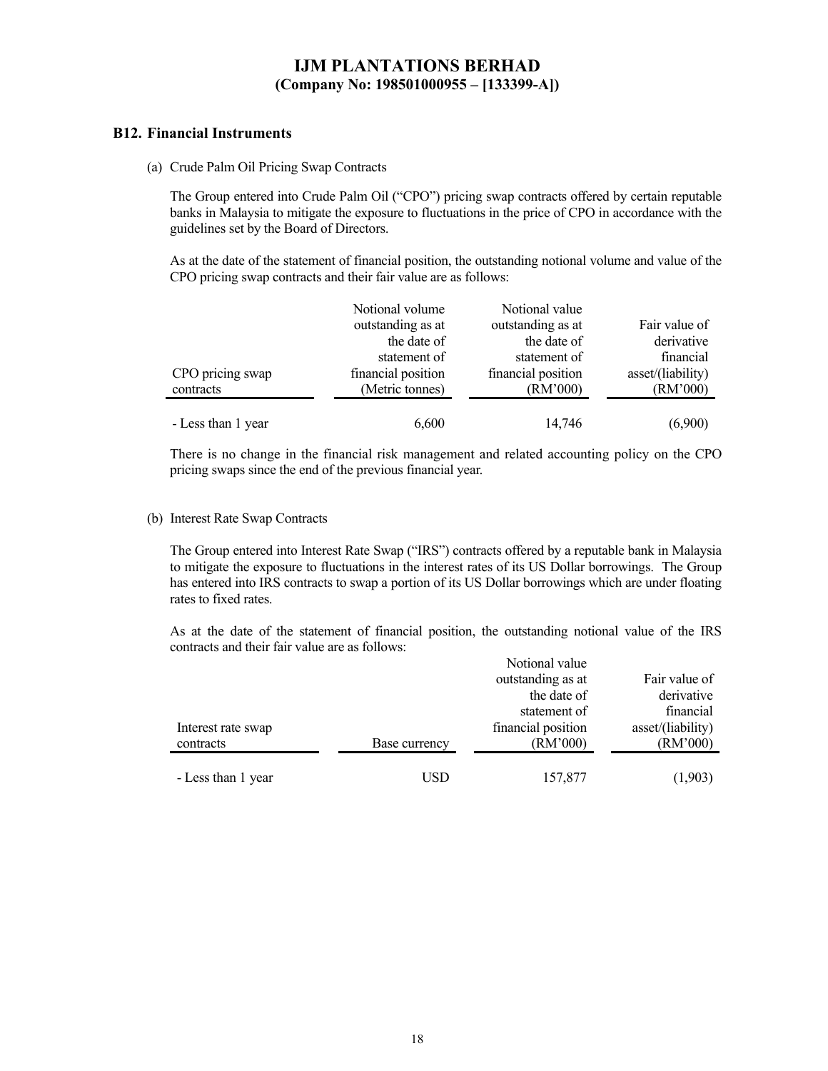#### **B12. Financial Instruments**

(a) Crude Palm Oil Pricing Swap Contracts

The Group entered into Crude Palm Oil ("CPO") pricing swap contracts offered by certain reputable banks in Malaysia to mitigate the exposure to fluctuations in the price of CPO in accordance with the guidelines set by the Board of Directors.

As at the date of the statement of financial position, the outstanding notional volume and value of the CPO pricing swap contracts and their fair value are as follows:

|                    | Notional volume    | Notional value     |                   |
|--------------------|--------------------|--------------------|-------------------|
|                    | outstanding as at  | outstanding as at  | Fair value of     |
|                    | the date of        | the date of        | derivative        |
|                    | statement of       | statement of       | financial         |
| CPO pricing swap   | financial position | financial position | asset/(liability) |
| contracts          | (Metric tonnes)    | (RM'000)           | (RM'000)          |
|                    |                    |                    |                   |
| - Less than 1 year | 6,600              | 14,746             | (6,900)           |

There is no change in the financial risk management and related accounting policy on the CPO pricing swaps since the end of the previous financial year.

#### (b) Interest Rate Swap Contracts

The Group entered into Interest Rate Swap ("IRS") contracts offered by a reputable bank in Malaysia to mitigate the exposure to fluctuations in the interest rates of its US Dollar borrowings. The Group has entered into IRS contracts to swap a portion of its US Dollar borrowings which are under floating rates to fixed rates.

As at the date of the statement of financial position, the outstanding notional value of the IRS contracts and their fair value are as follows:

|                    |               | Notional value     |                   |
|--------------------|---------------|--------------------|-------------------|
|                    |               | outstanding as at  | Fair value of     |
|                    |               | the date of        | derivative        |
|                    |               | statement of       | financial         |
| Interest rate swap |               | financial position | asset/(liability) |
| contracts          | Base currency | (RM'000)           | (RM'000)          |
|                    |               |                    |                   |
| - Less than 1 year | USD           | 157,877            | (1,903)           |